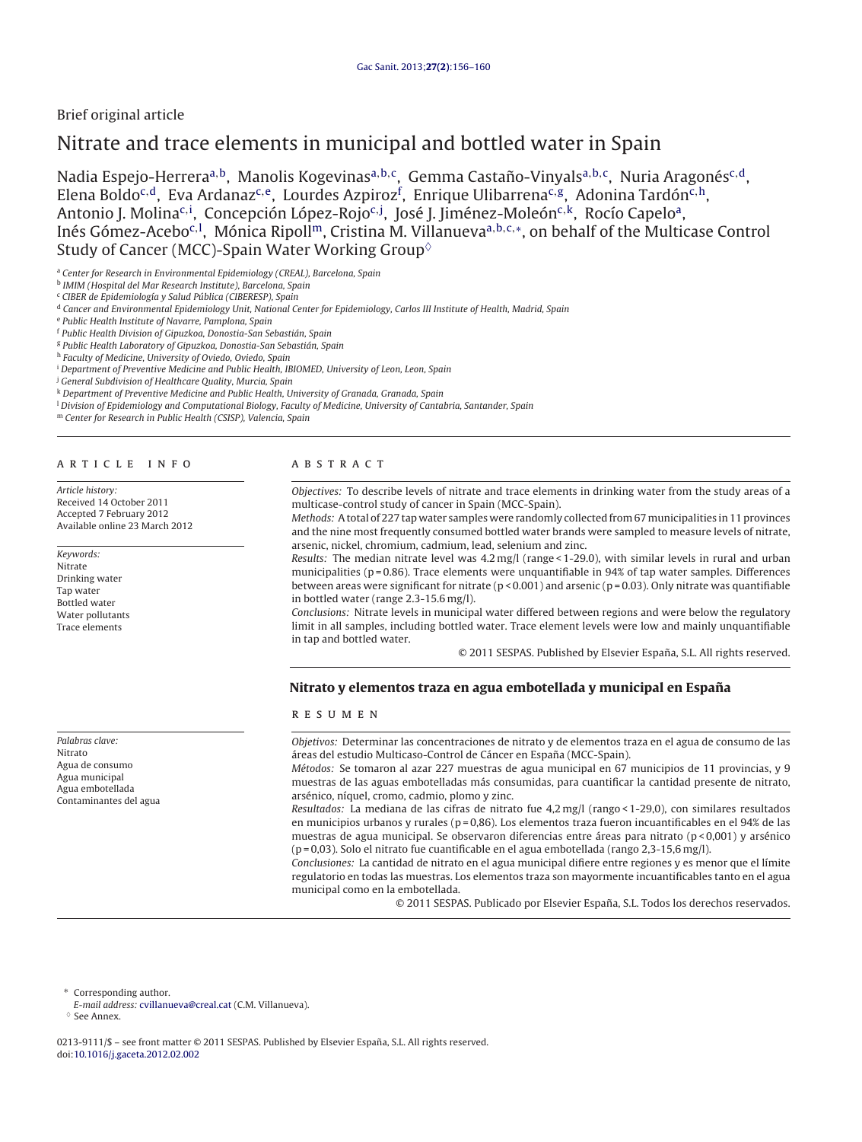## Brief original article

# Nitrate and trace elements in municipal and bottled water in Spain

Nadia Espejo-Herrera<sup>a,b</sup>, Manolis Kogevinas<sup>a,b,c</sup>, Gemma Castaño-Vinyals<sup>a,b,c</sup>, Nuria Aragonés<sup>c,d</sup>, Elena Boldo<sup>c,d</sup>, Eva Ardanaz<sup>c,e</sup>, Lourdes Azpiroz<sup>f</sup>, Enrique Ulibarrena<sup>c,g</sup>, Adonina Tardón<sup>c,h</sup>, Antonio J. Molina<sup>c,i</sup>, Concepción López-Rojo<sup>c,j</sup>, José J. Jiménez-Moleón<sup>c,k</sup>, Rocío Capelo<sup>a</sup>, Inés Gómez-Acebo<sup>c, I</sup>, Mónica Ripoll™, Cristina M. Villanueva<sup>a,b,c,</sup>\*, on behalf of the Multicase Control Study of Cancer (MCC)-Spain Water Working Group $\Diamond$ 

<sup>a</sup> Center for Research in Environmental Epidemiology (CREAL), Barcelona, Spain

<sup>b</sup> IMIM (Hospital del Mar Research Institute), Barcelona, Spain

<sup>c</sup> CIBER de Epidemiología y Salud Pública (CIBERESP), Spain

<sup>d</sup> Cancer and Environmental Epidemiology Unit, National Center for Epidemiology, Carlos III Institute of Health, Madrid, Spain

<sup>e</sup> Public Health Institute of Navarre, Pamplona, Spain

<sup>f</sup> Public Health Division of Gipuzkoa, Donostia-San Sebastián, Spain

<sup>g</sup> Public Health Laboratory of Gipuzkoa, Donostia-San Sebastián, Spain

h Faculty of Medicine, University of Oviedo, Oviedo, Spain

<sup>i</sup> Department of Preventive Medicine and Public Health, IBIOMED, University of Leon, Leon, Spain

<sup>j</sup> General Subdivision of Healthcare Ouality, Murcia, Spain

k Department of Preventive Medicine and Public Health, University of Granada, Granada, Spain

<sup>1</sup> Division of Epidemiology and Computational Biology, Faculty of Medicine, University of Cantabria, Santander, Spain

<sup>m</sup> Center for Research in Public Health (CSISP), Valencia, Spain

## a r t i c l e i n f o

Article history: Received 14 October 2011 Accepted 7 February 2012 Available online 23 March 2012

Keywords: Nitrate Drinking water Tap water Bottled water Water pollutants Trace elements

Palabras clave: Nitrato Agua de consumo Agua municipal Agua embotellada Contaminantes del agua

## A B S T R A C T

Objectives: To describe levels of nitrate and trace elements in drinking water from the study areas of a multicase-control study of cancer in Spain (MCC-Spain).

Methods: A total of 227 tap water samples were randomly collected from 67 municipalities in 11 provinces and the nine most frequently consumed bottled water brands were sampled to measure levels of nitrate, arsenic, nickel, chromium, cadmium, lead, selenium and zinc.

Results: The median nitrate level was  $4.2 \text{ mg/l}$  (range < 1-29.0), with similar levels in rural and urban municipalities ( $p = 0.86$ ). Trace elements were unquantifiable in 94% of tap water samples. Differences between areas were significant for nitrate ( $p < 0.001$ ) and arsenic ( $p = 0.03$ ). Only nitrate was quantifiable in bottled water (range 2.3-15.6 mg/l).

Conclusions: Nitrate levels in municipal water differed between regions and were below the regulatory limit in all samples, including bottled water. Trace element levels were low and mainly unquantifiable in tap and bottled water.

© 2011 SESPAS. Published by Elsevier España, S.L. All rights reserved.

## **Nitrato y elementos traza en agua embotellada y municipal en Espana˜**

## r e s u m e n

Objetivos: Determinar las concentraciones de nitrato y de elementos traza en el agua de consumo de las áreas del estudio Multicaso-Control de Cáncer en España (MCC-Spain).

Métodos: Se tomaron al azar 227 muestras de agua municipal en 67 municipios de 11 provincias, y 9 muestras de las aguas embotelladas más consumidas, para cuantificar la cantidad presente de nitrato, arsénico, níquel, cromo, cadmio, plomo y zinc.

Resultados: La mediana de las cifras de nitrato fue 4,2 mg/l (rango < 1-29,0), con similares resultados en municipios urbanos y rurales ( $p = 0.86$ ). Los elementos traza fueron incuantificables en el 94% de las muestras de agua municipal. Se observaron diferencias entre áreas para nitrato (p < 0,001) y arsénico (p = 0,03). Solo el nitrato fue cuantificable en el agua embotellada (rango 2,3-15,6 mg/l).

Conclusiones: La cantidad de nitrato en el agua municipal difiere entre regiones y es menor que el límite regulatorio en todas las muestras. Los elementos traza son mayormente incuantificables tanto en el agua municipal como en la embotellada.

© 2011 SESPAS. Publicado por Elsevier España, S.L. Todos los derechos reservados.

∗ Corresponding author.

E-mail address: [cvillanueva@creal.cat](mailto:cvillanueva@creal.cat) (C.M. Villanueva).

 $\diamond$  See Annex.

0213-9111/\$ – see front matter © 2011 SESPAS. Published by Elsevier España, S.L. All rights reserved. doi:[10.1016/j.gaceta.2012.02.002](dx.doi.org/10.1016/j.gaceta.2012.02.002)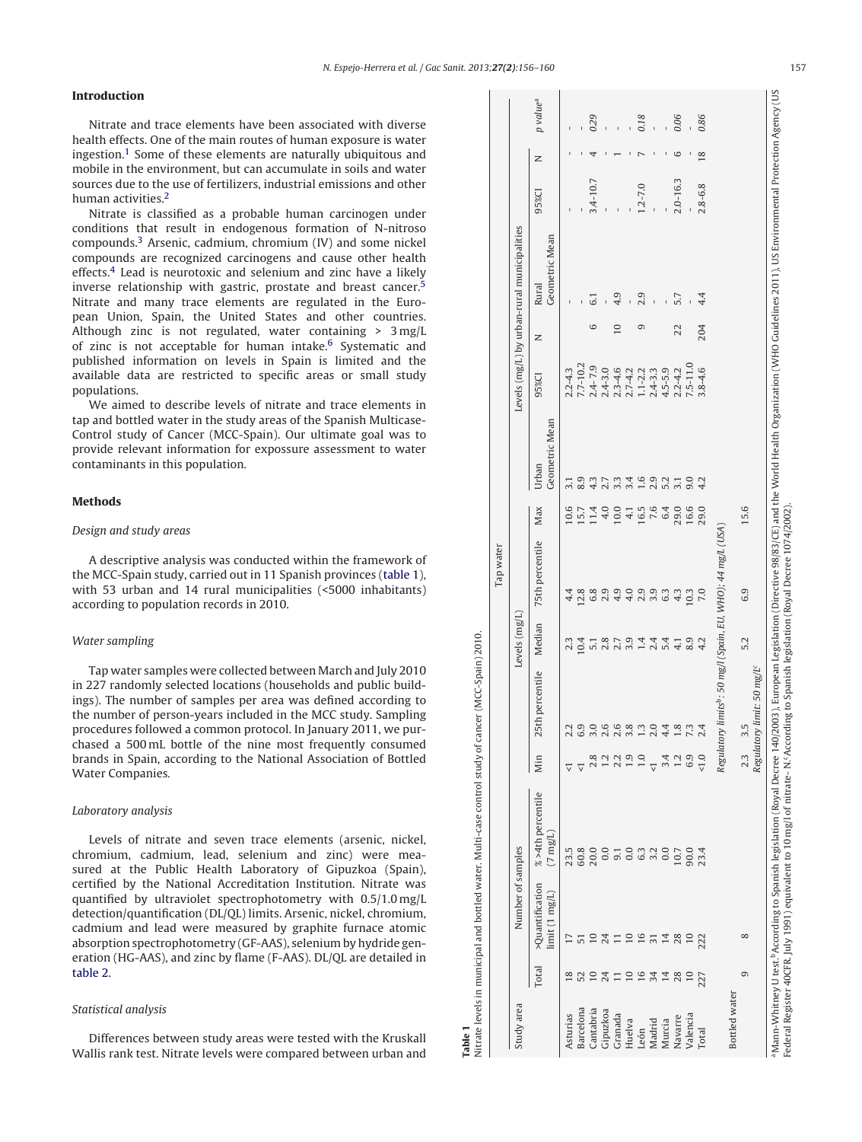## <span id="page-1-0"></span>**Introduction**

Nitrate and trace elements have been associated with diverse health effects. One of the main routes of human exposure is water ingestion. [1](#page-4-0) Some of these elements are naturally ubiquitous and mobile in the environment, but can accumulate in soils and water sources due to the use of fertilizers, industrial emissions and other human activities. [2](#page-4-0)

Nitrate is classified as a probable human carcinogen under conditions that result in endogenous formation of N-nitroso compounds. [3](#page-4-0) Arsenic, cadmium, chromium (IV) and some nickel compounds are recognized carcinogens and cause other health effects. [4](#page-4-0) Lead is neurotoxic and selenium and zinc have a likely inverse relationship with gastric, prostate and breast cancer. [5](#page-4-0) Nitrate and many trace elements are regulated in the European Union, Spain, the United States and other countries. Although zinc is not regulated, water containing > 3 mg/L of zinc is not acceptable for human intake.<sup>[6](#page-4-0)</sup> Systematic and published information on levels in Spain is limited and the available data are restricted to specific areas or small study populations.

We aimed to describe levels of nitrate and trace elements in tap and bottled water in the study areas of the Spanish Multicase-Control study of Cancer (MCC-Spain). Our ultimate goal was to provide relevant information for expossure assessment to water contaminants in this population.

## **Methods**

## Design and study areas

A descriptive analysis was conducted within the framework of the MCC-Spain study, carried out in 11 Spanish provinces (table 1), with 53 urban and 14 rural municipalities (<5000 inhabitants) according to population records in 2010.

#### Water sampling

Tap water samples were collected between March and July 2010 in 227 randomly selected locations (households and public buildings). The number of samples per area was defined according to the number of person-years included in the MCC study. Sampling procedures followed a common protocol. In January 2011, we purchased a 500 mL bottle of the nine most frequently consumed brands in Spain, according to the National Association of Bottled Water Companies .

#### Laboratory analysis

Levels of nitrate and seven trace elements (arsenic, nickel, chromium, cadmium, lead, selenium and zinc) were measured at the Public Health Laboratory of Gipuzkoa (Spain), certified by the National Accreditation Institution. Nitrate was quantified by ultraviolet spectrophotometry with 0.5/1.0 mg/L detection/quantification (DL/QL) limits. Arsenic, nickel, chromium, cadmium and lead were measured by graphite furnace atomic absorption spectrophotometry (GF-AAS), selenium by hydride generation (HG-AAS), and zinc by flame (F-AAS). DL/QL are detailed in [table](#page-2-0) 2 .

## Statistical analysis

Differences between study areas were tested with the Kruskall Wallis rank test. Nitrate levels were compared between urban and

| 23.5<br>60.8<br>10.7<br>0.0<br>6.3<br>3.2<br>90.0<br>23.4<br>20.0<br>$\overline{0}$<br>$\frac{0}{2}$<br>$\overline{5}$ | 25th percentile<br>6.9<br>2.6<br>2.6<br>3.8<br>2.0<br>3.0<br>1.3<br>4.4<br>7.3<br>1.8<br>2.4<br>2.2<br>6.9<br>1.0<br>2.8<br>1.2<br>1.9<br>3.4<br>1.2<br>1.0<br>Min<br>$\overline{\mathbf{v}}$ | Levels $(mg/L)$<br>Median<br>2.7<br>2.8<br>3.9<br>1.4<br>2.4<br>5.4<br>8.9<br>4.2<br>10.4<br>4.1<br>2.3<br>57 | 75th percentile<br>Tap water<br>12.8<br>6.8<br>2.9<br>4.9<br>2.9<br>3.9<br>6.3<br>4.0<br>4.3<br>7.0<br>10.3 | 16.6<br>Max<br>10.6<br>15.7<br>10.0<br>16.5<br>7.6<br>6.4<br>29.0<br>29.0<br>11.4<br>4.0<br>4.1 | Geometric Mean<br>Urban<br>8.9<br>3.4<br>1.6<br>2.9<br>4.3<br>2.7<br>3.3<br>5.2<br>9.0<br>4.2<br>3.1 | $7.7 - 10.2$<br>$7.5 - 11.0$<br>$2.4 - 7.9$<br>$3.8 - 4.6$<br>$2.3 - 4.6$<br>$2.2 - 4.3$<br>$2.4 - 3.0$<br>$2.7 - 4.2$<br>$4.5 - 5.9$<br>$2.2 - 4.2$<br>$1.1 - 2.2$<br>$2.4 - 3.3$<br>95%CI | 6<br>$\overline{10}$<br>9<br>22<br>204<br>Z | Levels (mg/L) by urban-rural municipalities<br>Geometric Mean<br><b>Rural</b><br>4.9<br>2.9<br>5.7<br>4.4<br>61<br>ï | 3.4-10.7<br>$2.0 - 16.3$<br>$1.2 - 7.0$<br>$2.8 - 6.8$<br>95%CI | 6<br>18<br>Z |
|------------------------------------------------------------------------------------------------------------------------|-----------------------------------------------------------------------------------------------------------------------------------------------------------------------------------------------|---------------------------------------------------------------------------------------------------------------|-------------------------------------------------------------------------------------------------------------|-------------------------------------------------------------------------------------------------|------------------------------------------------------------------------------------------------------|---------------------------------------------------------------------------------------------------------------------------------------------------------------------------------------------|---------------------------------------------|----------------------------------------------------------------------------------------------------------------------|-----------------------------------------------------------------|--------------|
|                                                                                                                        | Regulatory limits <sup>b</sup> : 50 mg/l (Spain, EU, WHO); 44 mg/L (USA)                                                                                                                      |                                                                                                               |                                                                                                             |                                                                                                 |                                                                                                      |                                                                                                                                                                                             |                                             |                                                                                                                      |                                                                 |              |
|                                                                                                                        | 3.5<br>2.3                                                                                                                                                                                    | 5.2                                                                                                           | 6.9                                                                                                         | 15.6                                                                                            |                                                                                                      |                                                                                                                                                                                             |                                             |                                                                                                                      |                                                                 |              |
|                                                                                                                        | imit: 50 mg/L <sup>c</sup><br>Regulatory li                                                                                                                                                   |                                                                                                               |                                                                                                             |                                                                                                 |                                                                                                      |                                                                                                                                                                                             |                                             |                                                                                                                      |                                                                 |              |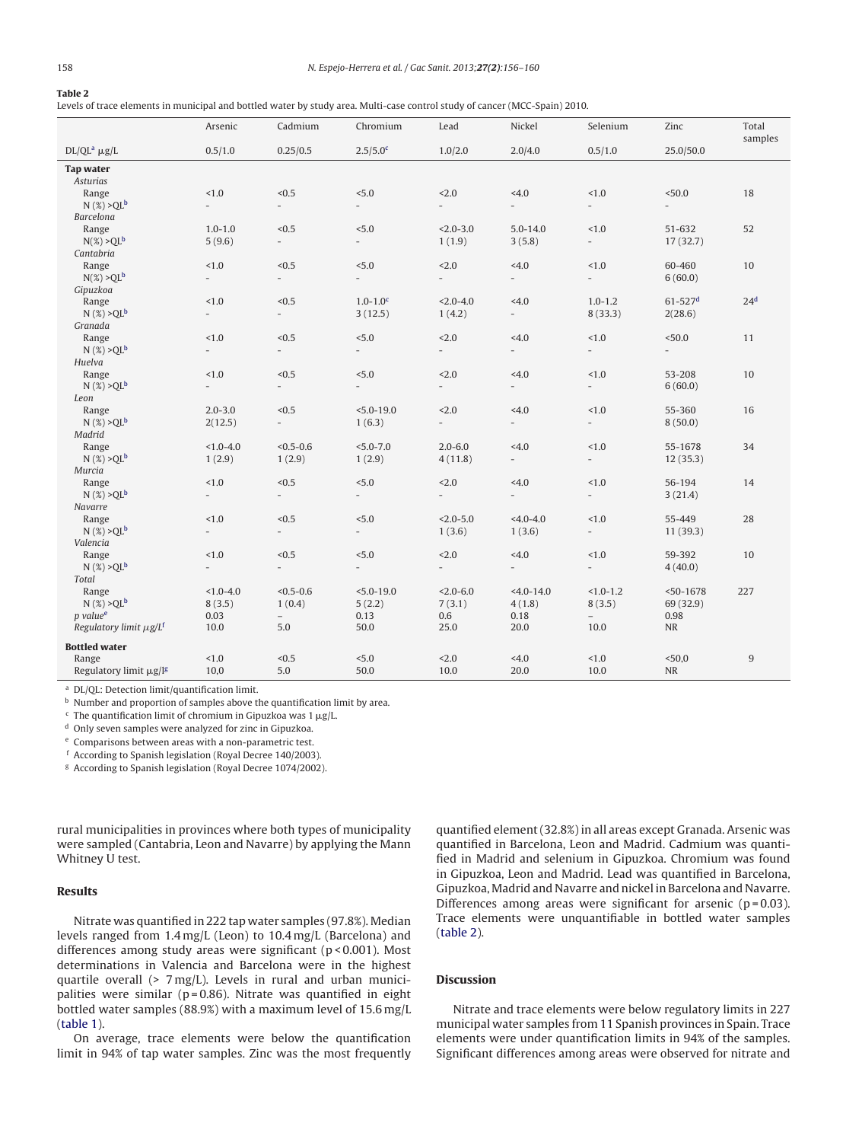## <span id="page-2-0"></span>**Table 2**

Levels of trace elements in municipal and bottled water by study area. Multi-case control study of cancer (MCC-Spain) 2010.

|                                         | Arsenic                  | Cadmium                  | Chromium                 | Lead                     | Nickel                   | Selenium                    | Zinc                     | Total<br>samples |
|-----------------------------------------|--------------------------|--------------------------|--------------------------|--------------------------|--------------------------|-----------------------------|--------------------------|------------------|
| $DL/QL^a \mu g/L$                       | 0.5/1.0                  | 0.25/0.5                 | 2.5/5.0c                 | 1.0/2.0                  | 2.0/4.0                  | 0.5/1.0                     | 25.0/50.0                |                  |
| <b>Tap water</b>                        |                          |                          |                          |                          |                          |                             |                          |                  |
| Asturias                                |                          |                          |                          |                          |                          |                             |                          |                  |
| Range                                   | 1.0                      | < 0.5                    | 5.0                      | 2.0                      | 4.0                      | 1.0                         | < 50.0                   | 18               |
| $N$ (%) > QL <sup>b</sup>               | $\overline{a}$           | $\overline{\phantom{0}}$ | $\overline{\phantom{a}}$ | $\overline{\phantom{a}}$ | $\overline{a}$           | $\overline{\phantom{0}}$    |                          |                  |
| Barcelona                               |                          |                          |                          |                          |                          |                             |                          |                  |
| Range                                   | $1.0 - 1.0$              | < 0.5                    | 5.0                      | $< 2.0 - 3.0$            | $5.0 - 14.0$             | 1.0                         | 51-632                   | 52               |
| $N(\%) > QL^b$                          | 5(9.6)                   | $\overline{a}$           | $\overline{\phantom{0}}$ | 1(1.9)                   | 3(5.8)                   | $\overline{\phantom{0}}$    | 17 (32.7)                |                  |
| Cantabria                               |                          |                          |                          |                          |                          |                             |                          |                  |
| Range                                   | 1.0                      | < 0.5                    | 5.0                      | 2.0                      | 4.0                      | 1.0                         | 60-460                   | 10               |
| $N(\%) > QL^b$                          | $\overline{\phantom{a}}$ | $\overline{a}$           |                          |                          | $\overline{a}$           | $\overline{a}$              | 6(60.0)                  |                  |
| Gipuzkoa                                |                          |                          |                          |                          |                          |                             |                          |                  |
| Range                                   | 1.0                      | < 0.5                    | $1.0 - 1.0$ <sup>c</sup> | $< 2.0 - 4.0$            | 4.0                      | $1.0 - 1.2$                 | $61 - 527$ <sup>d</sup>  | 24 <sup>d</sup>  |
| $N$ (%) > $OL^b$                        | $\overline{\phantom{0}}$ | $\overline{\phantom{0}}$ | 3(12.5)                  | 1(4.2)                   | $\overline{\phantom{a}}$ | 8(33.3)                     | 2(28.6)                  |                  |
| Granada                                 |                          |                          |                          |                          |                          |                             |                          |                  |
| Range                                   | <1.0                     | < 0.5                    | 5.0                      | 2.0                      | 4.0                      | <1.0                        | < 50.0                   | 11               |
| $N$ (%) > QL <sup>b</sup>               | $\overline{a}$           | $\sim$                   | $\overline{a}$           | $\overline{a}$           | $\overline{\phantom{a}}$ | $\overline{\phantom{0}}$    | $\overline{\phantom{0}}$ |                  |
| Huelva                                  |                          |                          |                          |                          |                          |                             |                          |                  |
| Range                                   | 1.0                      | < 0.5                    | 5.0                      | 2.0                      | 4.0                      | < 1.0                       | 53-208                   | 10               |
| $N$ (%) > QL <sup>b</sup>               | $\overline{a}$           | $\overline{a}$           | $\overline{\phantom{0}}$ | $\sim$                   | $\overline{\phantom{a}}$ | $\overline{\phantom{0}}$    | 6(60.0)                  |                  |
| Leon                                    |                          |                          |                          |                          |                          |                             |                          |                  |
| Range                                   | $2.0 - 3.0$              | < 0.5                    | $< 5.0 - 19.0$           | 2.0                      | 4.0                      | 1.0                         | 55-360                   | 16               |
| $N$ (%) > QL <sup>b</sup>               | 2(12.5)                  | $\overline{\phantom{0}}$ | 1(6.3)                   | $\overline{\phantom{a}}$ | $\overline{\phantom{a}}$ | $\overline{\phantom{0}}$    | 8(50.0)                  |                  |
| Madrid                                  |                          |                          |                          |                          |                          |                             |                          |                  |
| Range                                   | $< 1.0 - 4.0$            | $< 0.5 - 0.6$            | $5.0 - 7.0$              | $2.0 - 6.0$              | 4.0                      | 1.0                         | 55-1678                  | 34               |
| $N$ (%) > QL <sup>b</sup>               | 1(2.9)                   | 1(2.9)                   | 1(2.9)                   | 4(11.8)                  | $\sim$                   | $\mathcal{L}_{\mathcal{A}}$ | 12(35.3)                 |                  |
| Murcia                                  |                          |                          |                          |                          |                          |                             |                          |                  |
| Range                                   | 1.0                      | < 0.5                    | 5.0                      | 2.0                      | < 4.0                    | < 1.0                       | 56-194                   | 14               |
| $N$ (%) > $OL^b$                        | $\overline{\phantom{0}}$ | $\overline{a}$           | $\overline{\phantom{0}}$ | $\overline{\phantom{0}}$ | $\overline{\phantom{a}}$ | $\overline{\phantom{0}}$    | 3(21.4)                  |                  |
| Navarre                                 |                          |                          |                          |                          |                          |                             |                          |                  |
| Range                                   | 1.0                      | < 0.5                    | 5.0                      | $< 2.0 - 5.0$            | $4.0 - 4.0$              | 1.0                         | 55-449                   | 28               |
| $N$ (%) > $OL^b$                        | $\overline{a}$           | $\overline{\phantom{0}}$ | $\sim$                   | 1(3.6)                   | 1(3.6)                   | $\overline{\phantom{0}}$    | 11(39.3)                 |                  |
| Valencia                                |                          |                          |                          |                          |                          |                             |                          |                  |
| Range                                   | 1.0                      | < 0.5                    | 5.0                      | 2.0                      | 4.0                      | 1.0                         | 59-392                   | 10               |
| $N$ (%) > QL <sup>b</sup>               | $\overline{a}$           | $\overline{\phantom{0}}$ | $\overline{\phantom{0}}$ | $\overline{\phantom{a}}$ | $\overline{\phantom{a}}$ | $\overline{\phantom{0}}$    | 4(40.0)                  |                  |
| Total                                   |                          |                          |                          |                          |                          |                             |                          |                  |
| Range                                   | $< 1.0 - 4.0$            | $< 0.5 - 0.6$            | $< 5.0 - 19.0$           | $2.0 - 6.0$              | $<4.0-14.0$              | $< 1.0 - 1.2$               | $< 50 - 1678$            | 227              |
| $N$ (%) > $OL^b$                        | 8(3.5)                   | 1(0.4)                   | 5(2.2)                   | 7(3.1)                   | 4(1.8)                   | 8(3.5)                      | 69 (32.9)                |                  |
| p value <sup>e</sup>                    | 0.03                     | $-$                      | 0.13                     | 0.6                      | 0.18                     | $-$                         | 0.98                     |                  |
| Regulatory limit $\mu$ g/L <sup>f</sup> | 10.0                     | 5.0                      | 50.0                     | 25.0                     | 20.0                     | 10.0                        | NR                       |                  |
| <b>Bottled water</b>                    |                          |                          |                          |                          |                          |                             |                          |                  |
| Range                                   | 1.0                      | < 0.5                    | < 5.0                    | 2.0                      | < 4.0                    | 1.0                         | 50,0                     | $\boldsymbol{9}$ |
| Regulatory limit $\mu$ g/lg             | 10,0                     | $5.0\,$                  | 50.0                     | 10.0                     | 20.0                     | 10.0                        | <b>NR</b>                |                  |

<sup>a</sup> DL/QL: Detection limit/quantification limit.

 $<sup>b</sup>$  Number and proportion of samples above the quantification limit by area.</sup>

 $\epsilon$  The quantification limit of chromium in Gipuzkoa was 1  $\mu$ g/L.

<sup>d</sup> Only seven samples were analyzed for zinc in Gipuzkoa.

<sup>e</sup> Comparisons between areas with a non-parametric test.

<sup>f</sup> According to Spanish legislation (Royal Decree 140/2003).

<sup>g</sup> According to Spanish legislation (Royal Decree 1074/2002).

rural municipalities in provinces where both types of municipality were sampled (Cantabria, Leon and Navarre) by applying the Mann Whitney U test.

## **Results**

Nitrate was quantified in 222 tap water samples (97.8%). Median levels ranged from 1.4 mg/L (Leon) to 10.4 mg/L (Barcelona) and differences among study areas were significant (p < 0.001). Most determinations in Valencia and Barcelona were in the highest quartile overall (> 7 mg/L). Levels in rural and urban municipalities were similar ( $p = 0.86$ ). Nitrate was quantified in eight bottled water samples (88.9%) with a maximum level of 15.6 mg/L ([table](#page-1-0) 1).

On average, trace elements were below the quantification limit in 94% of tap water samples. Zinc was the most frequently quantified element(32.8%)in all areas except Granada. Arsenic was quantified in Barcelona, Leon and Madrid. Cadmium was quantified in Madrid and selenium in Gipuzkoa. Chromium was found in Gipuzkoa, Leon and Madrid. Lead was quantified in Barcelona, Gipuzkoa, Madrid and Navarre and nickel in Barcelona and Navarre. Differences among areas were significant for arsenic  $(p=0.03)$ . Trace elements were unquantifiable in bottled water samples (table 2).

## **Discussion**

Nitrate and trace elements were below regulatory limits in 227 municipal water samples from 11 Spanish provinces in Spain. Trace elements were under quantification limits in 94% of the samples. Significant differences among areas were observed for nitrate and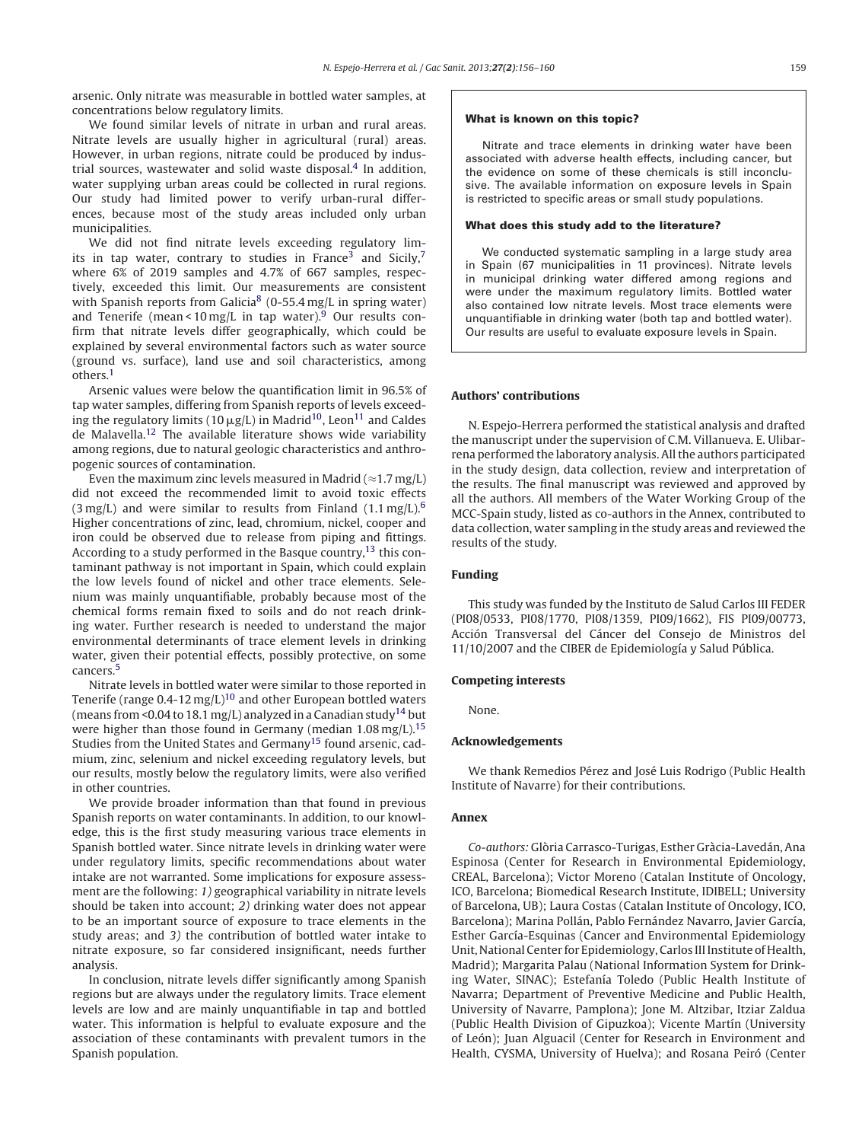arsenic. Only nitrate was measurable in bottled water samples, at concentrations below regulatory limits.

We found similar levels of nitrate in urban and rural areas. Nitrate levels are usually higher in agricultural (rural) areas. However, in urban regions, nitrate could be produced by industrial sources, wastewater and solid waste disposal[.4](#page-4-0) In addition, water supplying urban areas could be collected in rural regions. Our study had limited power to verify urban-rural differences, because most of the study areas included only urban municipalities.

We did not find nitrate levels exceeding regulatory lim-its in tap water, contrary to studies in France<sup>[3](#page-4-0)</sup> and Sicily,<sup>7</sup> where 6% of 2019 samples and 4.7% of 667 samples, respectively, exceeded this limit. Our measurements are consistent with Spanish reports from Galicia<sup>[8](#page-4-0)</sup> (0-55.4 mg/L in spring water) and Tenerife (mean <  $10 \text{ mg/L}$  in tap water).<sup>[9](#page-4-0)</sup> Our results confirm that nitrate levels differ geographically, which could be explained by several environmental factors such as water source (ground vs. surface), land use and soil characteristics, among others.[1](#page-4-0)

Arsenic values were below the quantification limit in 96.5% of tap water samples, differing from Spanish reports of levels exceeding the regulatory limits (10  $\mu$ g/L) in Madrid<sup>10</sup>, Leon<sup>[11](#page-4-0)</sup> and Caldes de Malavella[.12](#page-4-0) The available literature shows wide variability among regions, due to natural geologic characteristics and anthropogenic sources of contamination.

Even the maximum zinc levels measured in Madrid ( $\approx$ 1.7 mg/L) did not exceed the recommended limit to avoid toxic effects  $(3 \text{ mg/L})$  and were similar to results from Finland  $(1.1 \text{ mg/L})^6$ Higher concentrations of zinc, lead, chromium, nickel, cooper and iron could be observed due to release from piping and fittings. According to a study performed in the Basque country,<sup>[13](#page-4-0)</sup> this contaminant pathway is not important in Spain, which could explain the low levels found of nickel and other trace elements. Selenium was mainly unquantifiable, probably because most of the chemical forms remain fixed to soils and do not reach drinking water. Further research is needed to understand the major environmental determinants of trace element levels in drinking water, given their potential effects, possibly protective, on some cancers[.5](#page-4-0)

Nitrate levels in bottled water were similar to those reported in Tenerife (range  $0.4$ -12 mg/L)<sup>10</sup> and other European bottled waters (means from <0.04 to 18.1 mg/L) analyzed in a Canadian study<sup>14</sup> but were higher than those found in Germany (median  $1.08 \text{ mg/L}$ ).<sup>[15](#page-4-0)</sup> Studies from the United States and Germany<sup>15</sup> found arsenic, cadmium, zinc, selenium and nickel exceeding regulatory levels, but our results, mostly below the regulatory limits, were also verified in other countries.

We provide broader information than that found in previous Spanish reports on water contaminants. In addition, to our knowledge, this is the first study measuring various trace elements in Spanish bottled water. Since nitrate levels in drinking water were under regulatory limits, specific recommendations about water intake are not warranted. Some implications for exposure assessment are the following: 1) geographical variability in nitrate levels should be taken into account; 2) drinking water does not appear to be an important source of exposure to trace elements in the study areas; and 3) the contribution of bottled water intake to nitrate exposure, so far considered insignificant, needs further analysis.

In conclusion, nitrate levels differ significantly among Spanish regions but are always under the regulatory limits. Trace element levels are low and are mainly unquantifiable in tap and bottled water. This information is helpful to evaluate exposure and the association of these contaminants with prevalent tumors in the Spanish population.

#### **What is known on this topic?**

Nitrate and trace elements in drinking water have been associated with adverse health effects, including cancer, but the evidence on some of these chemicals is still inconclusive. The available information on exposure levels in Spain is restricted to specific areas or small study populations.

#### **What does this study add to the literature?**

We conducted systematic sampling in a large study area in Spain (67 municipalities in 11 provinces). Nitrate levels in municipal drinking water differed among regions and were under the maximum regulatory limits. Bottled water also contained low nitrate levels. Most trace elements were unquantifiable in drinking water (both tap and bottled water). Our results are useful to evaluate exposure levels in Spain.

#### **Authors' contributions**

N. Espejo-Herrera performed the statistical analysis and drafted the manuscript under the supervision of C.M. Villanueva. E. Ulibarrena performed the laboratory analysis. All the authors participated in the study design, data collection, review and interpretation of the results. The final manuscript was reviewed and approved by all the authors. All members of the Water Working Group of the MCC-Spain study, listed as co-authors in the Annex, contributed to data collection, water sampling in the study areas and reviewed the results of the study.

## **Funding**

This study was funded by the Instituto de Salud Carlos III FEDER (PI08/0533, PI08/1770, PI08/1359, PI09/1662), FIS PI09/00773, Acción Transversal del Cáncer del Consejo de Ministros del 11/10/2007 and the CIBER de Epidemiología y Salud Pública.

#### **Competing interests**

None.

#### **Acknowledgements**

We thank Remedios Pérez and José Luis Rodrigo (Public Health Institute of Navarre) for their contributions.

## **Annex**

Co-authors: Glòria Carrasco-Turigas, Esther Gràcia-Lavedán, Ana Espinosa (Center for Research in Environmental Epidemiology, CREAL, Barcelona); Victor Moreno (Catalan Institute of Oncology, ICO, Barcelona; Biomedical Research Institute, IDIBELL; University of Barcelona, UB); Laura Costas (Catalan Institute of Oncology, ICO, Barcelona); Marina Pollán, Pablo Fernández Navarro, Javier García, Esther García-Esquinas (Cancer and Environmental Epidemiology Unit, National Center for Epidemiology, Carlos III Institute of Health, Madrid); Margarita Palau (National Information System for Drinking Water, SINAC); Estefanía Toledo (Public Health Institute of Navarra; Department of Preventive Medicine and Public Health, University of Navarre, Pamplona); Jone M. Altzibar, Itziar Zaldua (Public Health Division of Gipuzkoa); Vicente Martín (University of León); Juan Alguacil (Center for Research in Environment and Health, CYSMA, University of Huelva); and Rosana Peiró (Center